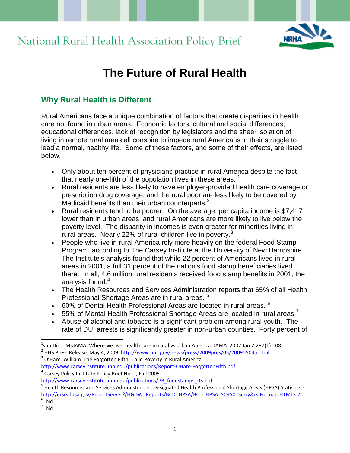



# **The Future of Rural Health**

# **Why Rural Health is Different**

Rural Americans face a unique combination of factors that create disparities in health care not found in urban areas. Economic factors, cultural and social differences, educational differences, lack of recognition by legislators and the sheer isolation of living in remote rural areas all conspire to impede rural Americans in their struggle to lead a normal, healthy life. Some of these factors, and some of their effects, are listed below.

- Only about ten percent of physicians practice in rural America despite the fact that nearly one-fifth of the population lives in these areas.  $<sup>1</sup>$ </sup>
- Rural residents are less likely to have employer-provided health care coverage or prescription drug coverage, and the rural poor are less likely to be covered by Medicaid benefits than their urban counterparts. $2^2$
- Rural residents tend to be poorer. On the average, per capita income is \$7,417 lower than in urban areas, and rural Americans are more likely to live below the poverty level. The disparity in incomes is even greater for minorities living in rural areas. Nearly 22% of rural children live in poverty. $3$
- People who live in rural America rely more heavily on the federal Food Stamp Program, according to The Carsey Institute at the University of New Hampshire. The Institute's analysis found that while 22 percent of Americans lived in rural areas in 2001, a full 31 percent of the nation's food stamp beneficiaries lived there. In all, 4.6 million rural residents received food stamp benefits in 2001, the analysis found. $4$
- The Health Resources and Services Administration reports that 65% of all Health Professional Shortage Areas are in rural areas.<sup>5</sup>
- $\bullet$  60% of Dental Health Professional Areas are located in rural areas.  $^6$
- $\bullet$  55% of Mental Health Professional Shortage Areas are located in rural areas.<sup>7</sup>
- Abuse of alcohol and tobacco is a significant problem among rural youth. The rate of DUI arrests is significantly greater in non-urban counties. Forty percent of

<http://www.carseyinstitute.unh.edu/publications/Report-OHare-ForgottenFifth.pdf> <sup>4</sup> Carsey Policy Institute Policy Brief No. 1, Fall 2005

 $^{1}$ van Dis J. MSJAMA. Where we live: health care in rural vs urban America. JAMA. 2002 Jan 2;287(1):108.

<sup>&</sup>lt;sup>2</sup> HHS Press Release, May 4, 2009. <u>http://www.hhs.gov/news/press/2009pres/05/20090504a.html</u>  $3$  O'Hare, William. The Forgotten Fifth: Child Poverty in Rural America

[http://www.carseyinstitute.unh.edu/publications/PB\\_foodstamps\\_05.pdf](http://www.carseyinstitute.unh.edu/publications/PB_foodstamps_05.pdf)

<sup>&</sup>lt;sup>5</sup> Health Resources and Services Administration, Designated Health Professional Shortage Areas (HPSA) Statistics [http://ersrs.hrsa.gov/ReportServer?/HGDW\\_Reports/BCD\\_HPSA/BCD\\_HPSA\\_SCR50\\_Smry&rs:Format=HTML3.2](http://ersrs.hrsa.gov/ReportServer?/HGDW_Reports/BCD_HPSA/BCD_HPSA_SCR50_Smry&rs:Format=HTML3.2)

 $<sup>6</sup>$  Ibid.</sup>

 $<sup>7</sup>$  Ibid.</sup>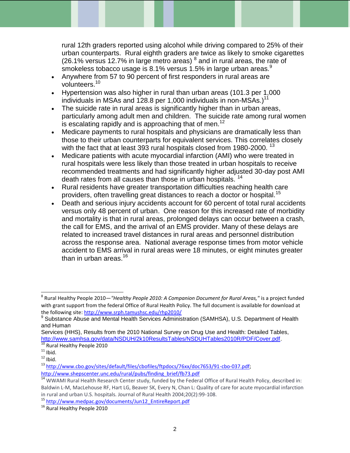rural 12th graders reported using alcohol while driving compared to 25% of their urban counterparts. Rural eighth graders are twice as likely to smoke cigarettes (26.1% versus 12.7% in large metro areas)  $^8$  and in rural areas, the rate of smokeless tobacco usage is 8.1% versus 1.5% in large urban areas.<sup>9</sup>

- Anywhere from 57 to 90 percent of first responders in rural areas are volunteers.<sup>10</sup>
- Hypertension was also higher in rural than urban areas (101.3 per 1,000 individuals in MSAs and 128.8 per 1,000 individuals in non-MSAs.)<sup>11</sup>
- The suicide rate in rural areas is significantly higher than in urban areas, particularly among adult men and children. The suicide rate among rural women is escalating rapidly and is approaching that of men.<sup>12</sup>
- Medicare payments to rural hospitals and physicians are dramatically less than those to their urban counterparts for equivalent services. This correlates closely with the fact that at least 393 rural hospitals closed from 1980-2000.<sup>13</sup>
- Medicare patients with acute myocardial infarction (AMI) who were treated in rural hospitals were less likely than those treated in urban hospitals to receive recommended treatments and had significantly higher adjusted 30-day post AMI death rates from all causes than those in urban hospitals.<sup>14</sup>
- Rural residents have greater transportation difficulties reaching health care providers, often travelling great distances to reach a doctor or hospital.<sup>15</sup>
- Death and serious injury accidents account for 60 percent of total rural accidents versus only 48 percent of urban. One reason for this increased rate of morbidity and mortality is that in rural areas, prolonged delays can occur between a crash, the call for EMS, and the arrival of an EMS provider. Many of these delays are related to increased travel distances in rural areas and personnel distribution across the response area. National average response times from motor vehicle accident to EMS arrival in rural areas were 18 minutes, or eight minutes greater than in urban areas. $16$

Services (HHS), Results from the 2010 National Survey on Drug Use and Health: Detailed Tables, [http://www.samhsa.gov/data/NSDUH/2k10ResultsTables/NSDUHTables2010R/PDF/Cover.pdf.](http://www.samhsa.gov/data/NSDUH/2k10ResultsTables/NSDUHTables2010R/PDF/Cover.pdf)

<sup>8</sup> Rural Healthy People 2010—*"Healthy People 2010: A Companion Document for Rural Areas,"* is a project funded with grant support from the federal Office of Rural Health Policy. The full document is available for download at the following site:<http://www.srph.tamushsc.edu/rhp2010/>

<sup>&</sup>lt;sup>9</sup> Substance Abuse and Mental Health Services Administration (SAMHSA), U.S. Department of Health and Human

<sup>&</sup>lt;sup>10</sup> Rural Healthy People 2010

 $11$  Ibid.

 $12$  Ibid.

<sup>13</sup> [http://www.cbo.gov/sites/default/files/cbofiles/ftpdocs/76xx/doc7653/91-cbo-037.pdf;](http://www.cbo.gov/sites/default/files/cbofiles/ftpdocs/76xx/doc7653/91-cbo-037.pdf) [http://www.shepscenter.unc.edu/rural/pubs/finding\\_brief/fb73.pdf](http://www.shepscenter.unc.edu/rural/pubs/finding_brief/fb73.pdf)

<sup>&</sup>lt;sup>14</sup> WWAMI Rural Health Research Center study, funded by the Federal Office of Rural Health Policy, described in: Baldwin L-M, MacLehouse RF, Hart LG, Beaver SK, Every N, Chan L: Quality of care for acute myocardial infarction in rural and urban U.S. hospitals. Journal of Rural Health 2004;20(2):99-108.

<sup>15</sup> [http://www.medpac.gov/documents/Jun12\\_EntireReport.pdf](http://www.medpac.gov/documents/Jun12_EntireReport.pdf)

<sup>&</sup>lt;sup>16</sup> Rural Healthy People 2010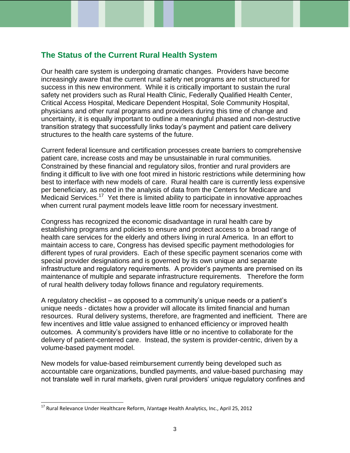## **The Status of the Current Rural Health System**

Our health care system is undergoing dramatic changes. Providers have become increasingly aware that the current rural safety net programs are not structured for success in this new environment. While it is critically important to sustain the rural safety net providers such as Rural Health Clinic, Federally Qualified Health Center, Critical Access Hospital, Medicare Dependent Hospital, Sole Community Hospital, physicians and other rural programs and providers during this time of change and uncertainty, it is equally important to outline a meaningful phased and non-destructive transition strategy that successfully links today's payment and patient care delivery structures to the health care systems of the future.

Current federal licensure and certification processes create barriers to comprehensive patient care, increase costs and may be unsustainable in rural communities. Constrained by these financial and regulatory silos, frontier and rural providers are finding it difficult to live with one foot mired in historic restrictions while determining how best to interface with new models of care. Rural health care is currently less expensive per beneficiary, as noted in the analysis of data from the Centers for Medicare and .<br>Medicaid Services.<sup>17</sup> Yet there is limited ability to participate in innovative approaches when current rural payment models leave little room for necessary investment.

Congress has recognized the economic disadvantage in rural health care by establishing programs and policies to ensure and protect access to a broad range of health care services for the elderly and others living in rural America. In an effort to maintain access to care, Congress has devised specific payment methodologies for different types of rural providers. Each of these specific payment scenarios come with special provider designations and is governed by its own unique and separate infrastructure and regulatory requirements. A provider's payments are premised on its maintenance of multiple and separate infrastructure requirements. Therefore the form of rural health delivery today follows finance and regulatory requirements.

A regulatory checklist – as opposed to a community's unique needs or a patient's unique needs - dictates how a provider will allocate its limited financial and human resources. Rural delivery systems, therefore, are fragmented and inefficient. There are few incentives and little value assigned to enhanced efficiency or improved health outcomes. A community's providers have little or no incentive to collaborate for the delivery of patient-centered care. Instead, the system is provider-centric, driven by a volume-based payment model.

New models for value-based reimbursement currently being developed such as accountable care organizations, bundled payments, and value-based purchasing may not translate well in rural markets, given rural providers' unique regulatory confines and

<sup>&</sup>lt;sup>17</sup> Rural Relevance Under Healthcare Reform, iVantage Health Analytics, Inc., April 25, 2012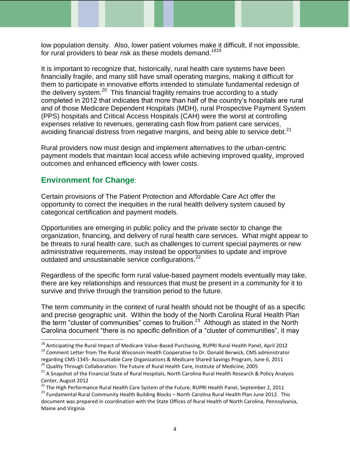low population density. Also, lower patient volumes make it difficult, if not impossible, for rural providers to bear risk as these models demand.<sup>1819</sup>

It is important to recognize that, historically, rural health care systems have been financially fragile, and many still have small operating margins, making it difficult for them to participate in innovative efforts intended to stimulate fundamental redesign of the delivery system.<sup>20</sup> This financial fragility remains true according to a study completed in 2012 that indicates that more than half of the country's hospitals are rural and of those Medicare Dependent Hospitals (MDH), rural Prospective Payment System (PPS) hospitals and Critical Access Hospitals (CAH) were the worst at controlling expenses relative to revenues, generating cash flow from patient care services, avoiding financial distress from negative margins, and being able to service debt.<sup>21</sup>

Rural providers now must design and implement alternatives to the urban-centric payment models that maintain local access while achieving improved quality, improved outcomes and enhanced efficiency with lower costs.

# **Environment for Change**:

l

Certain provisions of The Patient Protection and Affordable Care Act offer the opportunity to correct the inequities in the rural health delivery system caused by categorical certification and payment models.

Opportunities are emerging in public policy and the private sector to change the organization, financing, and delivery of rural health care services. What might appear to be threats to rural health care, such as challenges to current special payments or new administrative requirements, may instead be opportunities to update and improve outdated and unsustainable service configurations.<sup>22</sup>

Regardless of the specific form rural value-based payment models eventually may take, there are key relationships and resources that must be present in a community for it to survive and thrive through the transition period to the future.

The term community in the context of rural health should not be thought of as a specific and precise geographic unit. Within the body of the North Carolina Rural Health Plan the term "cluster of communities" comes to fruition.<sup>23</sup> Although as stated in the North Carolina document "there is no specific definition of a "cluster of communities", it may

<sup>&</sup>lt;sup>18</sup> Anticipating the Rural Impact of Medicare Value-Based Purchasing, RUPRI Rural Health Panel, April 2012

<sup>&</sup>lt;sup>19</sup> Comment Letter from The Rural Wisconsin Health Cooperative to Dr. Donald Berwick, CMS administrator regarding CMS-1345- Accountable Care Organizations & Medicare Shared Savings Program, June 6, 2011

<sup>&</sup>lt;sup>20</sup> Quality Through Collaboration: The Future of Rural Health Care, Institute of Medicine, 2005

<sup>&</sup>lt;sup>21</sup> A Snapshot of the Financial State of Rural Hospitals, North Carolina Rural Health Research & Policy Analysis Center, August 2012

<sup>&</sup>lt;sup>22</sup> The High Performance Rural Health Care System of the Future, RUPRI Health Panel, September 2, 2011

<sup>&</sup>lt;sup>23</sup> Fundamental Rural Community Health Building Blocks – North Carolina Rural Health Plan June 2012. This document was prepared in coordination with the State Offices of Rural Health of North Carolina, Pennsylvania, Maine and Virginia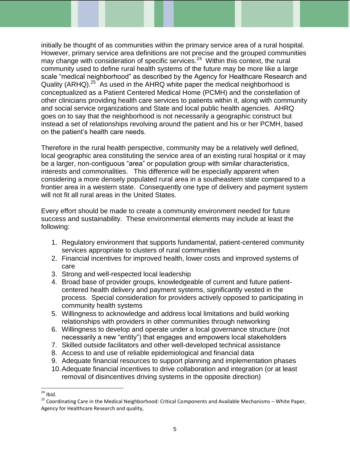initially be thought of as communities within the primary service area of a rural hospital. However, primary service area definitions are not precise and the grouped communities may change with consideration of specific services. $24$  Within this context, the rural community used to define rural health systems of the future may be more like a large scale "medical neighborhood" as described by the Agency for Healthcare Research and Quality (ARHQ).<sup>25</sup> As used in the AHRQ white paper the medical neighborhood is conceptualized as a Patient Centered Medical Home (PCMH) and the constellation of other clinicians providing health care services to patients within it, along with community and social service organizations and State and local public health agencies. AHRQ goes on to say that the neighborhood is not necessarily a geographic construct but instead a set of relationships revolving around the patient and his or her PCMH, based on the patient's health care needs.

Therefore in the rural health perspective, community may be a relatively well defined, local geographic area constituting the service area of an existing rural hospital or it may be a larger, non-contiguous "area" or population group with similar characteristics, interests and commonalities. This difference will be especially apparent when considering a more densely populated rural area in a southeastern state compared to a frontier area in a western state. Consequently one type of delivery and payment system will not fit all rural areas in the United States.

Every effort should be made to create a community environment needed for future success and sustainability. These environmental elements may include at least the following:

- 1. Regulatory environment that supports fundamental, patient-centered community services appropriate to clusters of rural communities
- 2. Financial incentives for improved health, lower costs and improved systems of care
- 3. Strong and well-respected local leadership
- 4. Broad base of provider groups, knowledgeable of current and future patientcentered health delivery and payment systems, significantly vested in the process. Special consideration for providers actively opposed to participating in community health systems
- 5. Willingness to acknowledge and address local limitations and build working relationships with providers in other communities through networking
- 6. Willingness to develop and operate under a local governance structure (not necessarily a new "entity") that engages and empowers local stakeholders
- 7. Skilled outside facilitators and other well-developed technical assistance
- 8. Access to and use of reliable epidemiological and financial data
- 9. Adequate financial resources to support planning and implementation phases
- 10.Adequate financial incentives to drive collaboration and integration (or at least removal of disincentives driving systems in the opposite direction)

l  $24$  Ibid.

<sup>&</sup>lt;sup>25</sup> Coordinating Care in the Medical Neighborhood: Critical Components and Available Mechanisms – White Paper, Agency for Healthcare Research and quality,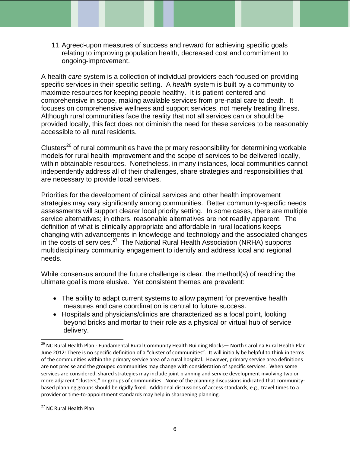11.Agreed-upon measures of success and reward for achieving specific goals relating to improving population health, decreased cost and commitment to ongoing-improvement.

A health *care* system is a collection of individual providers each focused on providing specific services in their specific setting. A *health* system is built by a community to maximize resources for keeping people healthy. It is patient-centered and comprehensive in scope, making available services from pre-natal care to death. It focuses on comprehensive wellness and support services, not merely treating illness. Although rural communities face the reality that not all services can or should be provided locally, this fact does not diminish the need for these services to be reasonably accessible to all rural residents.

Clusters<sup>26</sup> of rural communities have the primary responsibility for determining workable models for rural health improvement and the scope of services to be delivered locally, within obtainable resources. Nonetheless, in many instances, local communities cannot independently address all of their challenges, share strategies and responsibilities that are necessary to provide local services.

Priorities for the development of clinical services and other health improvement strategies may vary significantly among communities. Better community-specific needs assessments will support clearer local priority setting. In some cases, there are multiple service alternatives; in others, reasonable alternatives are not readily apparent. The definition of what is clinically appropriate and affordable in rural locations keeps changing with advancements in knowledge and technology and the associated changes in the costs of services.<sup>27</sup> The National Rural Health Association (NRHA) supports multidisciplinary community engagement to identify and address local and regional needs.

While consensus around the future challenge is clear, the method(s) of reaching the ultimate goal is more elusive. Yet consistent themes are prevalent:

- The ability to adapt current systems to allow payment for preventive health measures and care coordination is central to future success.
- Hospitals and physicians/clinics are characterized as a focal point, looking beyond bricks and mortar to their role as a physical or virtual hub of service delivery.

<sup>&</sup>lt;sup>26</sup> NC Rural Health Plan - Fundamental Rural Community Health Building Blocks— North Carolina Rural Health Plan June 2012: There is no specific definition of a "cluster of communities". It will initially be helpful to think in terms of the communities within the primary service area of a rural hospital. However, primary service area definitions are not precise and the grouped communities may change with consideration of specific services. When some services are considered, shared strategies may include joint planning and service development involving two or more adjacent "clusters," or groups of communities. None of the planning discussions indicated that communitybased planning groups should be rigidly fixed. Additional discussions of access standards, e.g., travel times to a provider or time-to-appointment standards may help in sharpening planning.

<sup>&</sup>lt;sup>27</sup> NC Rural Health Plan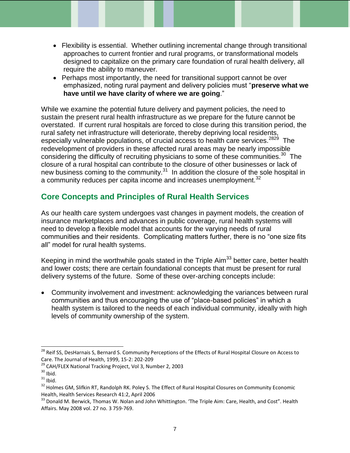- Flexibility is essential. Whether outlining incremental change through transitional approaches to current frontier and rural programs, or transformational models designed to capitalize on the primary care foundation of rural health delivery, all require the ability to maneuver.
- Perhaps most importantly, the need for transitional support cannot be over emphasized, noting rural payment and delivery policies must "**preserve what we have until we have clarity of where we are going**."

While we examine the potential future delivery and payment policies, the need to sustain the present rural health infrastructure as we prepare for the future cannot be overstated. If current rural hospitals are forced to close during this transition period, the rural safety net infrastructure will deteriorate, thereby depriving local residents, especially vulnerable populations, of crucial access to health care services.<sup>2829</sup> The redevelopment of providers in these affected rural areas may be nearly impossible considering the difficulty of recruiting physicians to some of these communities. $30$  The closure of a rural hospital can contribute to the closure of other businesses or lack of new business coming to the community. $31$  In addition the closure of the sole hospital in a community reduces per capita income and increases unemployment.<sup>32</sup>

# **Core Concepts and Principles of Rural Health Services**

As our health care system undergoes vast changes in payment models, the creation of insurance marketplaces and advances in public coverage, rural health systems will need to develop a flexible model that accounts for the varying needs of rural communities and their residents. Complicating matters further, there is no "one size fits all" model for rural health systems.

Keeping in mind the worthwhile goals stated in the Triple Aim<sup>33</sup> better care, better health and lower costs; there are certain foundational concepts that must be present for rural delivery systems of the future. Some of these over-arching concepts include:

 Community involvement and investment: acknowledging the variances between rural communities and thus encouraging the use of "place-based policies" in which a health system is tailored to the needs of each individual community, ideally with high levels of community ownership of the system.

<sup>&</sup>lt;sup>28</sup> Reif SS, DesHarnais S, Bernard S. Community Perceptions of the Effects of Rural Hospital Closure on Access to Care. The Journal of Health, 1999, 15-2: 202-209

<sup>&</sup>lt;sup>29</sup> CAH/FLEX National Tracking Project, Vol 3, Number 2, 2003

 $30$  Ibid.

 $31$  Ibid.

<sup>&</sup>lt;sup>32</sup> Holmes GM, Slifkin RT, Randolph RK. Poley S. The Effect of Rural Hospital Closures on Community Economic Health, Health Services Research 41:2, April 2006

<sup>&</sup>lt;sup>33</sup> Donald M. Berwick, Thomas W. Nolan and John Whittington. 'The Triple Aim: Care, Health, and Cost". Health Affairs. May 2008 vol. 27 no. 3 759-769.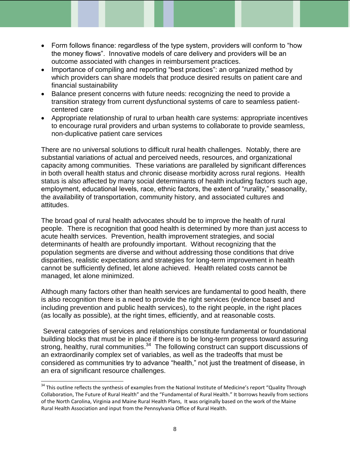- Form follows finance: regardless of the type system, providers will conform to "how the money flows". Innovative models of care delivery and providers will be an outcome associated with changes in reimbursement practices.
- Importance of compiling and reporting "best practices": an organized method by which providers can share models that produce desired results on patient care and financial sustainability
- Balance present concerns with future needs: recognizing the need to provide a transition strategy from current dysfunctional systems of care to seamless patientcentered care
- Appropriate relationship of rural to urban health care systems: appropriate incentives to encourage rural providers and urban systems to collaborate to provide seamless, non-duplicative patient care services

There are no universal solutions to difficult rural health challenges. Notably, there are substantial variations of actual and perceived needs, resources, and organizational capacity among communities. These variations are paralleled by significant differences in both overall health status and chronic disease morbidity across rural regions. Health status is also affected by many social determinants of health including factors such age, employment, educational levels, race, ethnic factors, the extent of "rurality," seasonality, the availability of transportation, community history, and associated cultures and attitudes.

The broad goal of rural health advocates should be to improve the health of rural people. There is recognition that good health is determined by more than just access to acute health services. Prevention, health improvement strategies, and social determinants of health are profoundly important. Without recognizing that the population segments are diverse and without addressing those conditions that drive disparities, realistic expectations and strategies for long-term improvement in health cannot be sufficiently defined, let alone achieved. Health related costs cannot be managed, let alone minimized.

Although many factors other than health services are fundamental to good health, there is also recognition there is a need to provide the right services (evidence based and including prevention and public health services), to the right people, in the right places (as locally as possible), at the right times, efficiently, and at reasonable costs.

Several categories of services and relationships constitute fundamental or foundational building blocks that must be in place if there is to be long-term progress toward assuring strong, healthy, rural communities.<sup>34</sup> The following construct can support discussions of an extraordinarily complex set of variables, as well as the tradeoffs that must be considered as communities try to advance "health," not just the treatment of disease, in an era of significant resource challenges.

<sup>&</sup>lt;sup>34</sup> This outline reflects the synthesis of examples from the National Institute of Medicine's report "Quality Through Collaboration, The Future of Rural Health" and the "Fundamental of Rural Health." It borrows heavily from sections of the North Carolina, Virginia and Maine Rural Health Plans, It was originally based on the work of the Maine Rural Health Association and input from the Pennsylvania Office of Rural Health.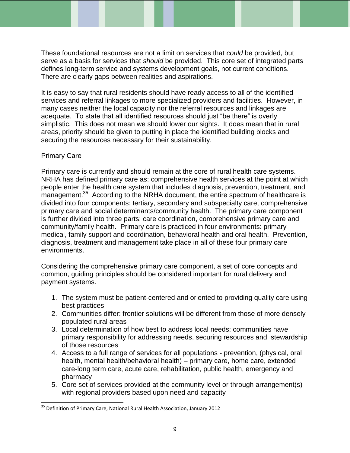These foundational resources are not a limit on services that *could* be provided, but serve as a basis for services that *should* be provided. This core set of integrated parts defines long-term service and systems development goals, not current conditions. There are clearly gaps between realities and aspirations.

It is easy to say that rural residents should have ready access to all of the identified services and referral linkages to more specialized providers and facilities. However, in many cases neither the local capacity nor the referral resources and linkages are adequate. To state that all identified resources should just "be there" is overly simplistic. This does not mean we should lower our sights. It does mean that in rural areas, priority should be given to putting in place the identified building blocks and securing the resources necessary for their sustainability.

## Primary Care

l

Primary care is currently and should remain at the core of rural health care systems. NRHA has defined primary care as: comprehensive health services at the point at which people enter the health care system that includes diagnosis, prevention, treatment, and  $m$ anagement.<sup>35</sup> According to the NRHA document, the entire spectrum of healthcare is divided into four components: tertiary, secondary and subspecialty care, comprehensive primary care and social determinants/community health. The primary care component is further divided into three parts: care coordination, comprehensive primary care and community/family health. Primary care is practiced in four environments: primary medical, family support and coordination, behavioral health and oral health. Prevention, diagnosis, treatment and management take place in all of these four primary care environments.

Considering the comprehensive primary care component, a set of core concepts and common, guiding principles should be considered important for rural delivery and payment systems.

- 1. The system must be patient-centered and oriented to providing quality care using best practices
- 2. Communities differ: frontier solutions will be different from those of more densely populated rural areas
- 3. Local determination of how best to address local needs: communities have primary responsibility for addressing needs, securing resources and stewardship of those resources
- 4. Access to a full range of services for all populations prevention, (physical, oral health, mental health/behavioral health) – primary care, home care, extended care-long term care, acute care, rehabilitation, public health, emergency and pharmacy
- 5. Core set of services provided at the community level or through arrangement(s) with regional providers based upon need and capacity

<sup>&</sup>lt;sup>35</sup> Definition of Primary Care, National Rural Health Association, January 2012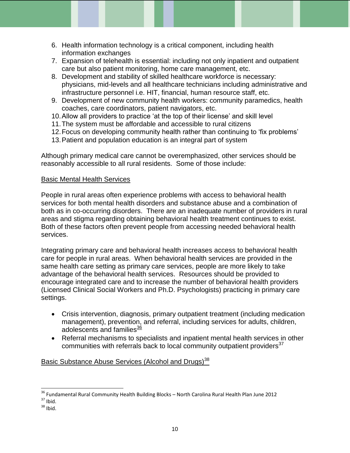- 6. Health information technology is a critical component, including health information exchanges
- 7. Expansion of telehealth is essential: including not only inpatient and outpatient care but also patient monitoring, home care management, etc.
- 8. Development and stability of skilled healthcare workforce is necessary: physicians, mid-levels and all healthcare technicians including administrative and infrastructure personnel i.e. HIT, financial, human resource staff, etc.
- 9. Development of new community health workers: community paramedics, health coaches, care coordinators, patient navigators, etc.
- 10.Allow all providers to practice 'at the top of their license' and skill level
- 11.The system must be affordable and accessible to rural citizens
- 12.Focus on developing community health rather than continuing to 'fix problems'
- 13.Patient and population education is an integral part of system

Although primary medical care cannot be overemphasized, other services should be reasonably accessible to all rural residents. Some of those include:

## Basic Mental Health Services

People in rural areas often experience problems with access to behavioral health services for both mental health disorders and substance abuse and a combination of both as in co-occurring disorders. There are an inadequate number of providers in rural areas and stigma regarding obtaining behavioral health treatment continues to exist. Both of these factors often prevent people from accessing needed behavioral health services.

Integrating primary care and behavioral health increases access to behavioral health care for people in rural areas. When behavioral health services are provided in the same health care setting as primary care services, people are more likely to take advantage of the behavioral health services. Resources should be provided to encourage integrated care and to increase the number of behavioral health providers (Licensed Clinical Social Workers and Ph.D. Psychologists) practicing in primary care settings.

- Crisis intervention, diagnosis, primary outpatient treatment (including medication management), prevention, and referral, including services for adults, children, adolescents and families<sup>36</sup>
- Referral mechanisms to specialists and inpatient mental health services in other communities with referrals back to local community outpatient providers $37$

Basic Substance Abuse Services (Alcohol and Drugs)<sup>38</sup>

l <sup>36</sup> Fundamental Rural Community Health Building Blocks – North Carolina Rural Health Plan June 2012  $37$  Ibid.

 $38$  Ibid.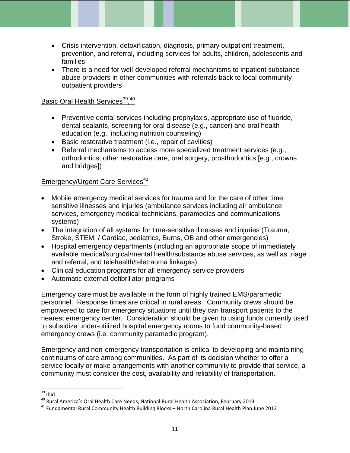- Crisis intervention, detoxification, diagnosis, primary outpatient treatment, prevention, and referral, including services for adults, children, adolescents and families
- There is a need for well-developed referral mechanisms to inpatient substance abuse providers in other communities with referrals back to local community outpatient providers

## Basic Oral Health Services<sup>39</sup>,<sup>40</sup>

- Preventive dental services including prophylaxis, appropriate use of fluoride, dental sealants, screening for oral disease (e.g., cancer) and oral health education (e.g., including nutrition counseling)
- Basic restorative treatment (i.e., repair of cavities)
- Referral mechanisms to access more specialized treatment services (e.g., orthodontics, other restorative care, oral surgery, prosthodontics [e.g., crowns and bridges])

## Emergency/Urgent Care Services<sup>41</sup>

- Mobile emergency medical services for trauma and for the care of other time sensitive illnesses and injuries (ambulance services including air ambulance services, emergency medical technicians, paramedics and communications systems)
- The integration of all systems for time-sensitive illnesses and injuries (Trauma, Stroke, STEMI / Cardiac, pediatrics, Burns, OB and other emergencies)
- Hospital emergency departments (including an appropriate scope of immediately available medical/surgical/mental health/substance abuse services, as well as triage and referral, and telehealth/teletrauma linkages)
- Clinical education programs for all emergency service providers
- Automatic external defibrillator programs

Emergency care must be available in the form of highly trained EMS/paramedic personnel. Response times are critical in rural areas. Community crews should be empowered to care for emergency situations until they can transport patients to the nearest emergency center. Consideration should be given to using funds currently used to subsidize under-utilized hospital emergency rooms to fund community-based emergency crews (i.e. community paramedic program).

Emergency and non-emergency transportation is critical to developing and maintaining continuums of care among communities. As part of its decision whether to offer a service locally or make arrangements with another community to provide that service, a community must consider the cost, availability and reliability of transportation.

l  $39$  Ibid.

 $^{40}$  Rural America's Oral Health Care Needs, National Rural Health Association, February 2013

<sup>41</sup> Fundamental Rural Community Health Building Blocks – North Carolina Rural Health Plan June 2012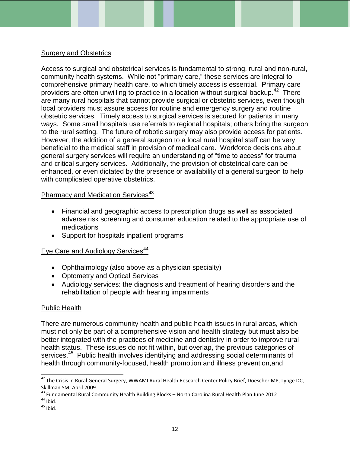## Surgery and Obstetrics

Access to surgical and obstetrical services is fundamental to strong, rural and non-rural, community health systems. While not "primary care," these services are integral to comprehensive primary health care, to which timely access is essential. Primary care providers are often unwilling to practice in a location without surgical backup.<sup>42</sup> There are many rural hospitals that cannot provide surgical or obstetric services, even though local providers must assure access for routine and emergency surgery and routine obstetric services. Timely access to surgical services is secured for patients in many ways. Some small hospitals use referrals to regional hospitals; others bring the surgeon to the rural setting. The future of robotic surgery may also provide access for patients. However, the addition of a general surgeon to a local rural hospital staff can be very beneficial to the medical staff in provision of medical care. Workforce decisions about general surgery services will require an understanding of "time to access" for trauma and critical surgery services. Additionally, the provision of obstetrical care can be enhanced, or even dictated by the presence or availability of a general surgeon to help with complicated operative obstetrics.

## Pharmacy and Medication Services<sup>43</sup>

- Financial and geographic access to prescription drugs as well as associated adverse risk screening and consumer education related to the appropriate use of medications
- Support for hospitals inpatient programs

## Eye Care and Audiology Services<sup>44</sup>

- Ophthalmology (also above as a physician specialty)
- Optometry and Optical Services
- Audiology services: the diagnosis and treatment of hearing disorders and the rehabilitation of people with hearing impairments

### Public Health

There are numerous community health and public health issues in rural areas, which must not only be part of a comprehensive vision and health strategy but must also be better integrated with the practices of medicine and dentistry in order to improve rural health status. These issues do not fit within, but overlap, the previous categories of services.<sup>45</sup> Public health involves identifying and addressing social determinants of health through community-focused, health promotion and illness prevention,and

<sup>&</sup>lt;sup>42</sup> The Crisis in Rural General Surgery, WWAMI Rural Health Research Center Policy Brief, Doescher MP, Lynge DC, Skillman SM, April 2009

<sup>&</sup>lt;sup>43</sup> Fundamental Rural Community Health Building Blocks – North Carolina Rural Health Plan June 2012  $44$  Ibid.

 $45$  Ibid.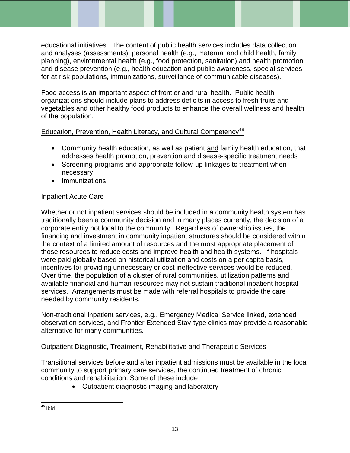educational initiatives. The content of public health services includes data collection and analyses (assessments), personal health (e.g., maternal and child health, family planning), environmental health (e.g., food protection, sanitation) and health promotion and disease prevention (e.g., health education and public awareness, special services for at-risk populations, immunizations, surveillance of communicable diseases).

Food access is an important aspect of frontier and rural health. Public health organizations should include plans to address deficits in access to fresh fruits and vegetables and other healthy food products to enhance the overall wellness and health of the population.

## Education, Prevention, Health Literacy, and Cultural Competency<sup>46</sup>

- Community health education, as well as patient and family health education, that addresses health promotion, prevention and disease-specific treatment needs
- Screening programs and appropriate follow-up linkages to treatment when necessary
- Immunizations

## Inpatient Acute Care

Whether or not inpatient services should be included in a community health system has traditionally been a community decision and in many places currently, the decision of a corporate entity not local to the community. Regardless of ownership issues, the financing and investment in community inpatient structures should be considered within the context of a limited amount of resources and the most appropriate placement of those resources to reduce costs and improve health and health systems. If hospitals were paid globally based on historical utilization and costs on a per capita basis, incentives for providing unnecessary or cost ineffective services would be reduced. Over time, the population of a cluster of rural communities, utilization patterns and available financial and human resources may not sustain traditional inpatient hospital services. Arrangements must be made with referral hospitals to provide the care needed by community residents.

Non-traditional inpatient services, e.g., Emergency Medical Service linked, extended observation services, and Frontier Extended Stay-type clinics may provide a reasonable alternative for many communities.

## Outpatient Diagnostic, Treatment, Rehabilitative and Therapeutic Services

Transitional services before and after inpatient admissions must be available in the local community to support primary care services, the continued treatment of chronic conditions and rehabilitation. Some of these include

• Outpatient diagnostic imaging and laboratory

l  $46$  Ibid.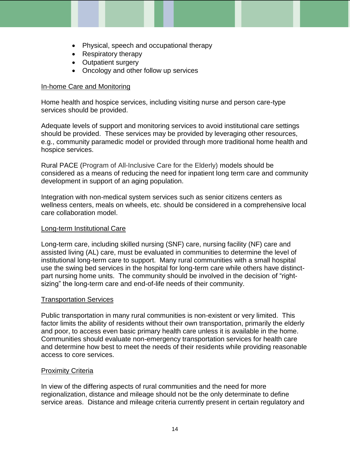- Physical, speech and occupational therapy
- Respiratory therapy
- Outpatient surgery
- Oncology and other follow up services

#### In-home Care and Monitoring

Home health and hospice services, including visiting nurse and person care-type services should be provided.

Adequate levels of support and monitoring services to avoid institutional care settings should be provided. These services may be provided by leveraging other resources, e.g., community paramedic model or provided through more traditional home health and hospice services.

Rural PACE (Program of All-Inclusive Care for the Elderly) models should be considered as a means of reducing the need for inpatient long term care and community development in support of an aging population.

Integration with non-medical system services such as senior citizens centers as wellness centers, meals on wheels, etc. should be considered in a comprehensive local care collaboration model.

#### Long-term Institutional Care

Long-term care, including skilled nursing (SNF) care, nursing facility (NF) care and assisted living (AL) care, must be evaluated in communities to determine the level of institutional long-term care to support. Many rural communities with a small hospital use the swing bed services in the hospital for long-term care while others have distinctpart nursing home units. The community should be involved in the decision of "rightsizing" the long-term care and end-of-life needs of their community.

### Transportation Services

Public transportation in many rural communities is non-existent or very limited. This factor limits the ability of residents without their own transportation, primarily the elderly and poor, to access even basic primary health care unless it is available in the home. Communities should evaluate non-emergency transportation services for health care and determine how best to meet the needs of their residents while providing reasonable access to core services.

### Proximity Criteria

In view of the differing aspects of rural communities and the need for more regionalization, distance and mileage should not be the only determinate to define service areas. Distance and mileage criteria currently present in certain regulatory and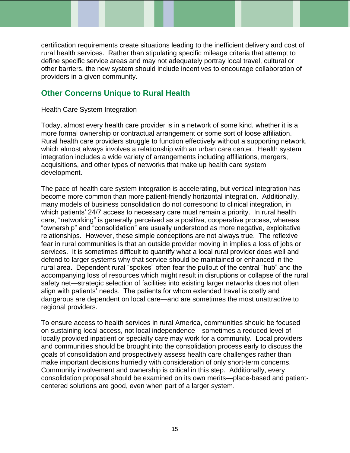certification requirements create situations leading to the inefficient delivery and cost of rural health services. Rather than stipulating specific mileage criteria that attempt to define specific service areas and may not adequately portray local travel, cultural or other barriers, the new system should include incentives to encourage collaboration of providers in a given community.

# **Other Concerns Unique to Rural Health**

## Health Care System Integration

Today, almost every health care provider is in a network of some kind, whether it is a more formal ownership or contractual arrangement or some sort of loose affiliation. Rural health care providers struggle to function effectively without a supporting network, which almost always involves a relationship with an urban care center. Health system integration includes a wide variety of arrangements including affiliations, mergers, acquisitions, and other types of networks that make up health care system development.

The pace of health care system integration is accelerating, but vertical integration has become more common than more patient-friendly horizontal integration. Additionally, many models of business consolidation do not correspond to clinical integration, in which patients' 24/7 access to necessary care must remain a priority. In rural health care, "networking" is generally perceived as a positive, cooperative process, whereas "ownership" and "consolidation" are usually understood as more negative, exploitative relationships. However, these simple conceptions are not always true. The reflexive fear in rural communities is that an outside provider moving in implies a loss of jobs or services. It is sometimes difficult to quantify what a local rural provider does well and defend to larger systems why that service should be maintained or enhanced in the rural area. Dependent rural "spokes" often fear the pullout of the central "hub" and the accompanying loss of resources which might result in disruptions or collapse of the rural safety net—strategic selection of facilities into existing larger networks does not often align with patients' needs. The patients for whom extended travel is costly and dangerous are dependent on local care—and are sometimes the most unattractive to regional providers.

To ensure access to health services in rural America, communities should be focused on sustaining local access, not local independence—sometimes a reduced level of locally provided inpatient or specialty care may work for a community. Local providers and communities should be brought into the consolidation process early to discuss the goals of consolidation and prospectively assess health care challenges rather than make important decisions hurriedly with consideration of only short-term concerns. Community involvement and ownership is critical in this step. Additionally, every consolidation proposal should be examined on its own merits—place-based and patientcentered solutions are good, even when part of a larger system.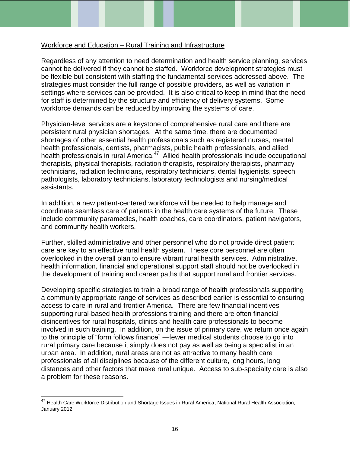### Workforce and Education – Rural Training and Infrastructure

Regardless of any attention to need determination and health service planning, services cannot be delivered if they cannot be staffed. Workforce development strategies must be flexible but consistent with staffing the fundamental services addressed above. The strategies must consider the full range of possible providers, as well as variation in settings where services can be provided. It is also critical to keep in mind that the need for staff is determined by the structure and efficiency of delivery systems. Some workforce demands can be reduced by improving the systems of care.

Physician-level services are a keystone of comprehensive rural care and there are persistent rural physician shortages. At the same time, there are documented shortages of other essential health professionals such as registered nurses, mental health professionals, dentists, pharmacists, public health professionals, and allied health professionals in rural America.<sup>47</sup> Allied health professionals include occupational therapists, physical therapists, radiation therapists, respiratory therapists, pharmacy technicians, radiation technicians, respiratory technicians, dental hygienists, speech pathologists, laboratory technicians, laboratory technologists and nursing/medical assistants.

In addition, a new patient-centered workforce will be needed to help manage and coordinate seamless care of patients in the health care systems of the future. These include community paramedics, health coaches, care coordinators, patient navigators, and community health workers.

Further, skilled administrative and other personnel who do not provide direct patient care are key to an effective rural health system. These core personnel are often overlooked in the overall plan to ensure vibrant rural health services. Administrative, health information, financial and operational support staff should not be overlooked in the development of training and career paths that support rural and frontier services.

Developing specific strategies to train a broad range of health professionals supporting a community appropriate range of services as described earlier is essential to ensuring access to care in rural and frontier America. There are few financial incentives supporting rural-based health professions training and there are often financial disincentives for rural hospitals, clinics and health care professionals to become involved in such training. In addition, on the issue of primary care, we return once again to the principle of "form follows finance" —fewer medical students choose to go into rural primary care because it simply does not pay as well as being a specialist in an urban area. In addition, rural areas are not as attractive to many health care professionals of all disciplines because of the different culture, long hours, long distances and other factors that make rural unique. Access to sub-specialty care is also a problem for these reasons.

<sup>&</sup>lt;sup>47</sup> Health Care Workforce Distribution and Shortage Issues in Rural America, National Rural Health Association, January 2012.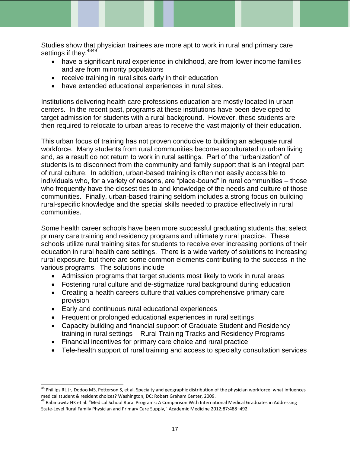Studies show that physician trainees are more apt to work in rural and primary care settings if they: 4849

- have a significant rural experience in childhood, are from lower income families and are from minority populations
- receive training in rural sites early in their education
- have extended educational experiences in rural sites.

Institutions delivering health care professions education are mostly located in urban centers. In the recent past, programs at these institutions have been developed to target admission for students with a rural background. However, these students are then required to relocate to urban areas to receive the vast majority of their education.

This urban focus of training has not proven conducive to building an adequate rural workforce. Many students from rural communities become acculturated to urban living and, as a result do not return to work in rural settings. Part of the "urbanization" of students is to disconnect from the community and family support that is an integral part of rural culture. In addition, urban-based training is often not easily accessible to individuals who, for a variety of reasons, are "place-bound" in rural communities – those who frequently have the closest ties to and knowledge of the needs and culture of those communities. Finally, urban-based training seldom includes a strong focus on building rural-specific knowledge and the special skills needed to practice effectively in rural communities.

Some health career schools have been more successful graduating students that select primary care training and residency programs and ultimately rural practice. These schools utilize rural training sites for students to receive ever increasing portions of their education in rural health care settings. There is a wide variety of solutions to increasing rural exposure, but there are some common elements contributing to the success in the various programs. The solutions include

- Admission programs that target students most likely to work in rural areas
- Fostering rural culture and de-stigmatize rural background during education
- Creating a health careers culture that values comprehensive primary care provision
- Early and continuous rural educational experiences

- Frequent or prolonged educational experiences in rural settings
- Capacity building and financial support of Graduate Student and Residency training in rural settings – Rural Training Tracks and Residency Programs
- Financial incentives for primary care choice and rural practice
- Tele-health support of rural training and access to specialty consultation services

<sup>&</sup>lt;sup>48</sup> Phillips RL Jr, Dodoo MS, Petterson S, et al. Specialty and geographic distribution of the physician workforce: what influences medical student & resident choices? Washington, DC: Robert Graham Center, 2009.

<sup>&</sup>lt;sup>49</sup> Rabinowitz HK et al. "Medical School Rural Programs: A Comparison With International Medical Graduates in Addressing State-Level Rural Family Physician and Primary Care Supply," Academic Medicine 2012;87:488–492.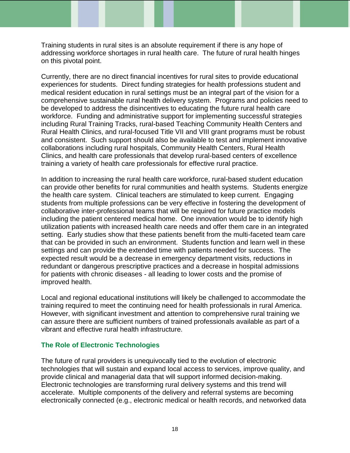Training students in rural sites is an absolute requirement if there is any hope of addressing workforce shortages in rural health care. The future of rural health hinges on this pivotal point.

Currently, there are no direct financial incentives for rural sites to provide educational experiences for students. Direct funding strategies for health professions student and medical resident education in rural settings must be an integral part of the vision for a comprehensive sustainable rural health delivery system. Programs and policies need to be developed to address the disincentives to educating the future rural health care workforce. Funding and administrative support for implementing successful strategies including Rural Training Tracks, rural-based Teaching Community Health Centers and Rural Health Clinics, and rural-focused Title VII and VIII grant programs must be robust and consistent. Such support should also be available to test and implement innovative collaborations including rural hospitals, Community Health Centers, Rural Health Clinics, and health care professionals that develop rural-based centers of excellence training a variety of health care professionals for effective rural practice.

In addition to increasing the rural health care workforce, rural-based student education can provide other benefits for rural communities and health systems. Students energize the health care system. Clinical teachers are stimulated to keep current. Engaging students from multiple professions can be very effective in fostering the development of collaborative inter-professional teams that will be required for future practice models including the patient centered medical home. One innovation would be to identify high utilization patients with increased health care needs and offer them care in an integrated setting. Early studies show that these patients benefit from the multi-faceted team care that can be provided in such an environment. Students function and learn well in these settings and can provide the extended time with patients needed for success. The expected result would be a decrease in emergency department visits, reductions in redundant or dangerous prescriptive practices and a decrease in hospital admissions for patients with chronic diseases - all leading to lower costs and the promise of improved health.

Local and regional educational institutions will likely be challenged to accommodate the training required to meet the continuing need for health professionals in rural America. However, with significant investment and attention to comprehensive rural training we can assure there are sufficient numbers of trained professionals available as part of a vibrant and effective rural health infrastructure.

## **The Role of Electronic Technologies**

The future of rural providers is unequivocally tied to the evolution of electronic technologies that will sustain and expand local access to services, improve quality, and provide clinical and managerial data that will support informed decision-making. Electronic technologies are transforming rural delivery systems and this trend will accelerate. Multiple components of the delivery and referral systems are becoming electronically connected (e.g., electronic medical or health records, and networked data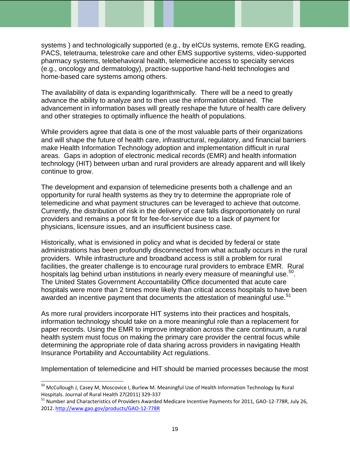systems ) and technologically supported (e.g., by eICUs systems, remote EKG reading, PACS, teletrauma, telestroke care and other EMS supportive systems, video-supported pharmacy systems, telebehavioral health, telemedicine access to specialty services (e.g., oncology and dermatology), practice-supportive hand-held technologies and home-based care systems among others.

The availability of data is expanding logarithmically. There will be a need to greatly advance the ability to analyze and to then use the information obtained. The advancement in information bases will greatly reshape the future of health care delivery and other strategies to optimally influence the health of populations.

While providers agree that data is one of the most valuable parts of their organizations and will shape the future of health care, infrastructural, regulatory, and financial barriers make Health Information Technology adoption and implementation difficult in rural areas. Gaps in adoption of electronic medical records (EMR) and health information technology (HIT) between urban and rural providers are already apparent and will likely continue to grow.

The development and expansion of telemedicine presents both a challenge and an opportunity for rural health systems as they try to determine the appropriate role of telemedicine and what payment structures can be leveraged to achieve that outcome. Currently, the distribution of risk in the delivery of care falls disproportionately on rural providers and remains a poor fit for fee-for-service due to a lack of payment for physicians, licensure issues, and an insufficient business case.

Historically, what is envisioned in policy and what is decided by federal or state administrations has been profoundly disconnected from what actually occurs in the rural providers. While infrastructure and broadband access is still a problem for rural facilities, the greater challenge is to encourage rural providers to embrace EMR. Rural hospitals lag behind urban institutions in nearly every measure of meaningful use.<sup>50</sup>. The United States Government Accountability Office documented that acute care hospitals were more than 2 times more likely than critical access hospitals to have been awarded an incentive payment that documents the attestation of meaningful use.<sup>51</sup>

As more rural providers incorporate HIT systems into their practices and hospitals, information technology should take on a more meaningful role than a replacement for paper records. Using the EMR to improve integration across the care continuum, a rural health system must focus on making the primary care provider the central focus while determining the appropriate role of data sharing across providers in navigating Health Insurance Portability and Accountability Act regulations.

Implementation of telemedicine and HIT should be married processes because the most

<sup>&</sup>lt;sup>50</sup> McCullough J, Casey M, Moscovice I, Burlew M. Meaningful Use of Health Information Technology by Rural Hospitals. Journal of Rural Health 27(2011) 329-337

<sup>&</sup>lt;sup>51</sup> Number and Characteristics of Providers Awarded Medicare Incentive Payments for 2011, GAO-12-778R, July 26, 2012.<http://www.gao.gov/products/GAO-12-778R>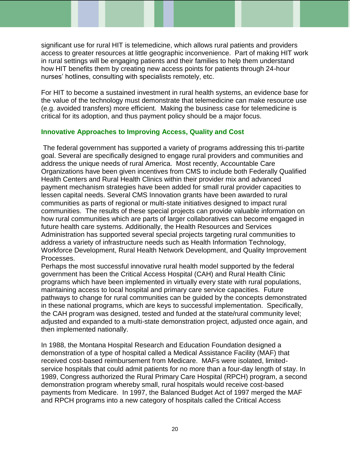significant use for rural HIT is telemedicine, which allows rural patients and providers access to greater resources at little geographic inconvenience. Part of making HIT work in rural settings will be engaging patients and their families to help them understand how HIT benefits them by creating new access points for patients through 24-hour nurses' hotlines, consulting with specialists remotely, etc.

For HIT to become a sustained investment in rural health systems, an evidence base for the value of the technology must demonstrate that telemedicine can make resource use (e.g. avoided transfers) more efficient. Making the business case for telemedicine is critical for its adoption, and thus payment policy should be a major focus.

## **Innovative Approaches to Improving Access, Quality and Cost**

The federal government has supported a variety of programs addressing this tri-partite goal. Several are specifically designed to engage rural providers and communities and address the unique needs of rural America. Most recently, Accountable Care Organizations have been given incentives from CMS to include both Federally Qualified Health Centers and Rural Health Clinics within their provider mix and advanced payment mechanism strategies have been added for small rural provider capacities to lessen capital needs. Several CMS Innovation grants have been awarded to rural communities as parts of regional or multi-state initiatives designed to impact rural communities. The results of these special projects can provide valuable information on how rural communities which are parts of larger collaboratives can become engaged in future health care systems. Additionally, the Health Resources and Services Administration has supported several special projects targeting rural communities to address a variety of infrastructure needs such as Health Information Technology, Workforce Development, Rural Health Network Development, and Quality Improvement Processes.

Perhaps the most successful innovative rural health model supported by the federal government has been the Critical Access Hospital (CAH) and Rural Health Clinic programs which have been implemented in virtually every state with rural populations, maintaining access to local hospital and primary care service capacities. Future pathways to change for rural communities can be guided by the concepts demonstrated in these national programs, which are keys to successful implementation. Specifically, the CAH program was designed, tested and funded at the state/rural community level; adjusted and expanded to a multi-state demonstration project, adjusted once again, and then implemented nationally.

In 1988, the Montana Hospital Research and Education Foundation designed a demonstration of a type of hospital called a Medical Assistance Facility (MAF) that received cost-based reimbursement from Medicare. MAFs were isolated, limitedservice hospitals that could admit patients for no more than a four-day length of stay. In 1989, Congress authorized the Rural Primary Care Hospital (RPCH) program, a second demonstration program whereby small, rural hospitals would receive cost-based payments from Medicare. In 1997, the Balanced Budget Act of 1997 merged the MAF and RPCH programs into a new category of hospitals called the Critical Access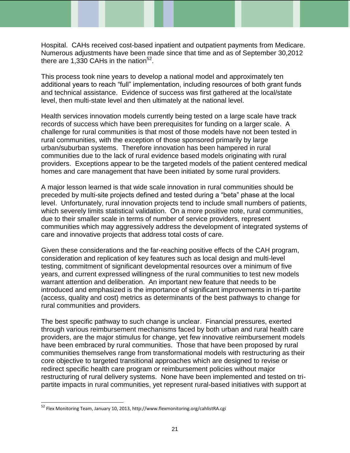Hospital. CAHs received cost-based inpatient and outpatient payments from Medicare. Numerous adjustments have been made since that time and as of September 30,2012 there are 1,330 CAHs in the nation $52$ .

This process took nine years to develop a national model and approximately ten additional years to reach "full" implementation, including resources of both grant funds and technical assistance. Evidence of success was first gathered at the local/state level, then multi-state level and then ultimately at the national level.

Health services innovation models currently being tested on a large scale have track records of success which have been prerequisites for funding on a larger scale. A challenge for rural communities is that most of those models have not been tested in rural communities, with the exception of those sponsored primarily by large urban/suburban systems. Therefore innovation has been hampered in rural communities due to the lack of rural evidence based models originating with rural providers. Exceptions appear to be the targeted models of the patient centered medical homes and care management that have been initiated by some rural providers.

A major lesson learned is that wide scale innovation in rural communities should be preceded by multi-site projects defined and tested during a "beta" phase at the local level. Unfortunately, rural innovation projects tend to include small numbers of patients, which severely limits statistical validation. On a more positive note, rural communities, due to their smaller scale in terms of number of service providers, represent communities which may aggressively address the development of integrated systems of care and innovative projects that address total costs of care.

Given these considerations and the far-reaching positive effects of the CAH program, consideration and replication of key features such as local design and multi-level testing, commitment of significant developmental resources over a minimum of five years, and current expressed willingness of the rural communities to test new models warrant attention and deliberation. An important new feature that needs to be introduced and emphasized is the importance of significant improvements in tri-partite (access, quality and cost) metrics as determinants of the best pathways to change for rural communities and providers.

The best specific pathway to such change is unclear. Financial pressures, exerted through various reimbursement mechanisms faced by both urban and rural health care providers, are the major stimulus for change, yet few innovative reimbursement models have been embraced by rural communities. Those that have been proposed by rural communities themselves range from transformational models with restructuring as their core objective to targeted transitional approaches which are designed to revise or redirect specific health care program or reimbursement policies without major restructuring of rural delivery systems. None have been implemented and tested on tripartite impacts in rural communities, yet represent rural-based initiatives with support at

<sup>52</sup> Flex Monitoring Team, January 10, 2013, http://www.flexmonitoring.org/cahlistRA.cgi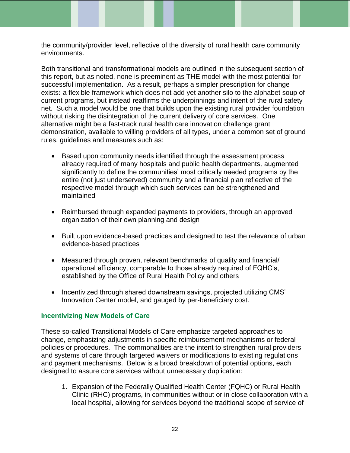the community/provider level, reflective of the diversity of rural health care community environments.

Both transitional and transformational models are outlined in the subsequent section of this report, but as noted, none is preeminent as THE model with the most potential for successful implementation. As a result, perhaps a simpler prescription for change exists**:** a flexible framework which does not add yet another silo to the alphabet soup of current programs, but instead reaffirms the underpinnings and intent of the rural safety net. Such a model would be one that builds upon the existing rural provider foundation without risking the disintegration of the current delivery of core services.One alternative might be a fast-track rural health care innovation challenge grant demonstration, available to willing providers of all types, under a common set of ground rules, guidelines and measures such as:

- Based upon community needs identified through the assessment process already required of many hospitals and public health departments*,* augmented significantly to define the communities' most critically needed programs by the entire (not just underserved) community and a financial plan reflective of the respective model through which such services can be strengthened and maintained
- Reimbursed through expanded payments to providers, through an approved organization of their own planning and design
- Built upon evidence-based practices and designed to test the relevance of urban evidence-based practices
- Measured through proven, relevant benchmarks of quality and financial/ operational efficiency, comparable to those already required of FQHC's, established by the Office of Rural Health Policy and others
- Incentivized through shared downstream savings, projected utilizing CMS' Innovation Center model, and gauged by per-beneficiary cost.

### **Incentivizing New Models of Care**

These so-called Transitional Models of Care emphasize targeted approaches to change, emphasizing adjustments in specific reimbursement mechanisms or federal policies or procedures. The commonalities are the intent to strengthen rural providers and systems of care through targeted waivers or modifications to existing regulations and payment mechanisms. Below is a broad breakdown of potential options, each designed to assure core services without unnecessary duplication:

1. Expansion of the Federally Qualified Health Center (FQHC) or Rural Health Clinic (RHC) programs, in communities without or in close collaboration with a local hospital, allowing for services beyond the traditional scope of service of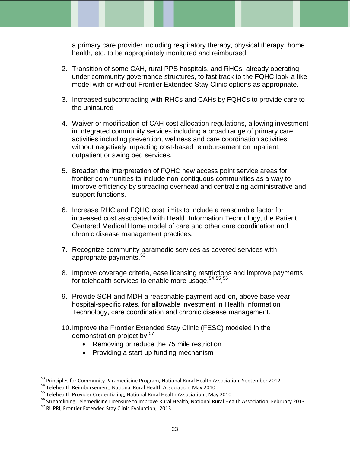a primary care provider including respiratory therapy, physical therapy, home health, etc. to be appropriately monitored and reimbursed.

- 2. Transition of some CAH, rural PPS hospitals, and RHCs, already operating under community governance structures, to fast track to the FQHC look-a-like model with or without Frontier Extended Stay Clinic options as appropriate.
- 3. Increased subcontracting with RHCs and CAHs by FQHCs to provide care to the uninsured
- 4. Waiver or modification of CAH cost allocation regulations, allowing investment in integrated community services including a broad range of primary care activities including prevention, wellness and care coordination activities without negatively impacting cost-based reimbursement on inpatient, outpatient or swing bed services.
- 5. Broaden the interpretation of FQHC new access point service areas for frontier communities to include non-contiguous communities as a way to improve efficiency by spreading overhead and centralizing administrative and support functions.
- 6. Increase RHC and FQHC cost limits to include a reasonable factor for increased cost associated with Health Information Technology, the Patient Centered Medical Home model of care and other care coordination and chronic disease management practices.
- 7. Recognize community paramedic services as covered services with appropriate payments.<sup>53</sup>
- 8. Improve coverage criteria, ease licensing restrictions and improve payments for telehealth services to enable more usage.<sup>54</sup>,<sup>55</sup>,<sup>56</sup>
- 9. Provide SCH and MDH a reasonable payment add-on, above base year hospital-specific rates, for allowable investment in Health Information Technology, care coordination and chronic disease management.
- 10.Improve the Frontier Extended Stay Clinic (FESC) modeled in the demonstration project by:<sup>57</sup>
	- Removing or reduce the 75 mile restriction
	- Providing a start-up funding mechanism

<sup>&</sup>lt;sup>53</sup> Principles for Community Paramedicine Program, National Rural Health Association, September 2012

<sup>&</sup>lt;sup>54</sup> Telehealth Reimbursement, National Rural Health Association, May 2010

<sup>&</sup>lt;sup>55</sup> Telehealth Provider Credentialing, National Rural Health Association, May 2010

<sup>56</sup> Streamlining Telemedicine Licensure to Improve Rural Health, National Rural Health Association, February 2013

<sup>57</sup> RUPRI, Frontier Extended Stay Clinic Evaluation, 2013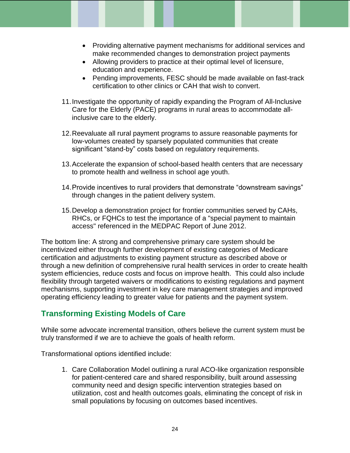- Providing alternative payment mechanisms for additional services and make recommended changes to demonstration project payments
- Allowing providers to practice at their optimal level of licensure, education and experience.
- Pending improvements, FESC should be made available on fast-track certification to other clinics or CAH that wish to convert.
- 11.Investigate the opportunity of rapidly expanding the Program of All-Inclusive Care for the Elderly (PACE) programs in rural areas to accommodate allinclusive care to the elderly.
- 12.Reevaluate all rural payment programs to assure reasonable payments for low-volumes created by sparsely populated communities that create significant "stand-by" costs based on regulatory requirements.
- 13.Accelerate the expansion of school-based health centers that are necessary to promote health and wellness in school age youth.
- 14.Provide incentives to rural providers that demonstrate "downstream savings" through changes in the patient delivery system.
- 15.Develop a demonstration project for frontier communities served by CAHs, RHCs, or FQHCs to test the importance of a "special payment to maintain access" referenced in the MEDPAC Report of June 2012.

The bottom line: A strong and comprehensive primary care system should be incentivized either through further development of existing categories of Medicare certification and adjustments to existing payment structure as described above or through a new definition of comprehensive rural health services in order to create health system efficiencies, reduce costs and focus on improve health. This could also include flexibility through targeted waivers or modifications to existing regulations and payment mechanisms, supporting investment in key care management strategies and improved operating efficiency leading to greater value for patients and the payment system.

# **Transforming Existing Models of Care**

While some advocate incremental transition, others believe the current system must be truly transformed if we are to achieve the goals of health reform.

Transformational options identified include:

1. Care Collaboration Model outlining a rural ACO-like organization responsible for patient-centered care and shared responsibility, built around assessing community need and design specific intervention strategies based on utilization, cost and health outcomes goals, eliminating the concept of risk in small populations by focusing on outcomes based incentives.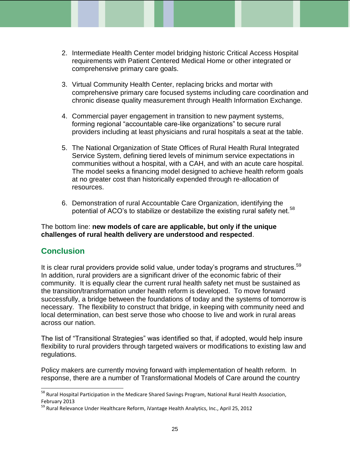- 2. Intermediate Health Center model bridging historic Critical Access Hospital requirements with Patient Centered Medical Home or other integrated or comprehensive primary care goals.
- 3. Virtual Community Health Center, replacing bricks and mortar with comprehensive primary care focused systems including care coordination and chronic disease quality measurement through Health Information Exchange.
- 4. Commercial payer engagement in transition to new payment systems, forming regional "accountable care-like organizations" to secure rural providers including at least physicians and rural hospitals a seat at the table.
- 5. The National Organization of State Offices of Rural Health Rural Integrated Service System, defining tiered levels of minimum service expectations in communities without a hospital, with a CAH, and with an acute care hospital. The model seeks a financing model designed to achieve health reform goals at no greater cost than historically expended through re-allocation of resources.
- 6. Demonstration of rural Accountable Care Organization, identifying the potential of ACO's to stabilize or destabilize the existing rural safety net.<sup>58</sup>

The bottom line: **new models of care are applicable, but only if the unique challenges of rural health delivery are understood and respected**.

## **Conclusion**

l

It is clear rural providers provide solid value, under today's programs and structures.<sup>59</sup> In addition, rural providers are a significant driver of the economic fabric of their community. It is equally clear the current rural health safety net must be sustained as the transition/transformation under health reform is developed. To move forward successfully, a bridge between the foundations of today and the systems of tomorrow is necessary. The flexibility to construct that bridge, in keeping with community need and local determination, can best serve those who choose to live and work in rural areas across our nation.

The list of "Transitional Strategies" was identified so that, if adopted, would help insure flexibility to rural providers through targeted waivers or modifications to existing law and regulations.

Policy makers are currently moving forward with implementation of health reform. In response, there are a number of Transformational Models of Care around the country

<sup>&</sup>lt;sup>58</sup> Rural Hospital Participation in the Medicare Shared Savings Program, National Rural Health Association, February 2013

<sup>59</sup> Rural Relevance Under Healthcare Reform, iVantage Health Analytics, Inc., April 25, 2012